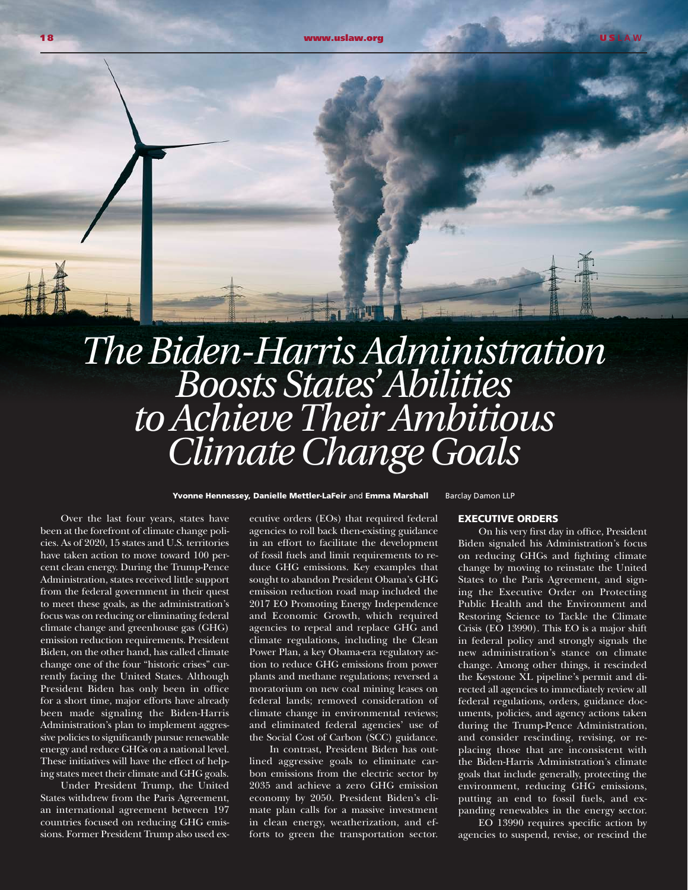*The Biden-Harris Administration Boosts States' Abilities*

## *to Achieve Their Ambitious Climate Change Goals*

Yvonne Hennessey, Danielle Mettler-LaFeir and Emma Marshall Barclay Damon LLP

Over the last four years, states have been at the forefront of climate change policies. As of 2020, 15 states and U.S. territories have taken action to move toward 100 percent clean energy. During the Trump-Pence Administration, states received little support from the federal government in their quest to meet these goals, as the administration's focus was on reducing or eliminating federal climate change and greenhouse gas (GHG) emission reduction requirements. President Biden, on the other hand, has called climate change one of the four "historic crises" currently facing the United States. Although President Biden has only been in office for a short time, major efforts have already been made signaling the Biden-Harris Administration's plan to implement aggressive policies to significantly pursue renewable energy and reduce GHGs on a national level. These initiatives will have the effect of helping states meet their climate and GHG goals.

Under President Trump, the United States withdrew from the Paris Agreement, an international agreement between 197 countries focused on reducing GHG emissions. Former President Trump also used executive orders (EOs) that required federal agencies to roll back then-existing guidance in an effort to facilitate the development of fossil fuels and limit requirements to reduce GHG emissions. Key examples that sought to abandon President Obama's GHG emission reduction road map included the 2017 EO Promoting Energy Independence and Economic Growth, which required agencies to repeal and replace GHG and climate regulations, including the Clean Power Plan, a key Obama-era regulatory action to reduce GHG emissions from power plants and methane regulations; reversed a moratorium on new coal mining leases on federal lands; removed consideration of climate change in environmental reviews; and eliminated federal agencies' use of the Social Cost of Carbon (SCC) guidance.

In contrast, President Biden has outlined aggressive goals to eliminate carbon emissions from the electric sector by 2035 and achieve a zero GHG emission economy by 2050. President Biden's climate plan calls for a massive investment in clean energy, weatherization, and efforts to green the transportation sector.

EXECUTIVE ORDERS

On his very first day in office, President Biden signaled his Administration's focus on reducing GHGs and fighting climate change by moving to reinstate the United States to the Paris Agreement, and signing the Executive Order on Protecting Public Health and the Environment and Restoring Science to Tackle the Climate Crisis (EO 13990). This EO is a major shift in federal policy and strongly signals the new administration's stance on climate change. Among other things, it rescinded the Keystone XL pipeline's permit and directed all agencies to immediately review all federal regulations, orders, guidance documents, policies, and agency actions taken during the Trump-Pence Administration, and consider rescinding, revising, or replacing those that are inconsistent with the Biden-Harris Administration's climate goals that include generally, protecting the environment, reducing GHG emissions, putting an end to fossil fuels, and expanding renewables in the energy sector.

EO 13990 requires specific action by agencies to suspend, revise, or rescind the